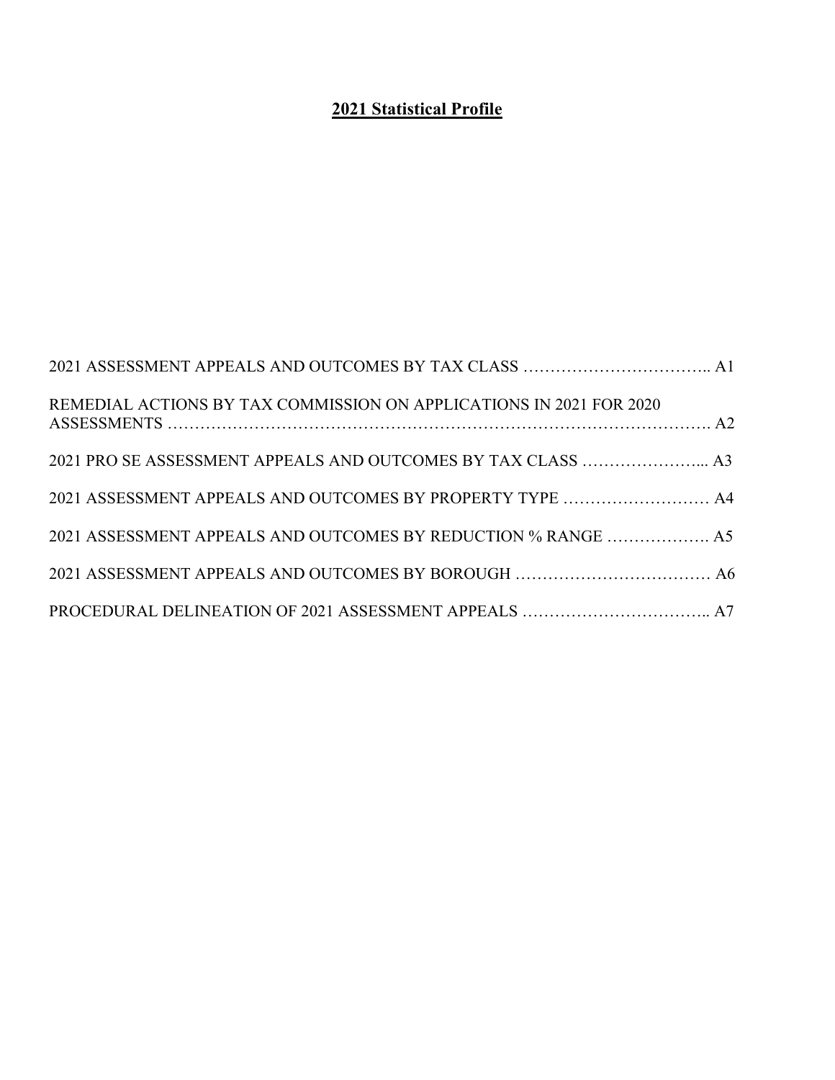## **Statistical Profile**

| REMEDIAL ACTIONS BY TAX COMMISSION ON APPLICATIONS IN 2021 FOR 2020 |  |
|---------------------------------------------------------------------|--|
| 2021 PRO SE ASSESSMENT APPEALS AND OUTCOMES BY TAX CLASS  A3        |  |
| 2021 ASSESSMENT APPEALS AND OUTCOMES BY PROPERTY TYPE  A4           |  |
| 2021 ASSESSMENT APPEALS AND OUTCOMES BY REDUCTION % RANGE  A5       |  |
|                                                                     |  |
|                                                                     |  |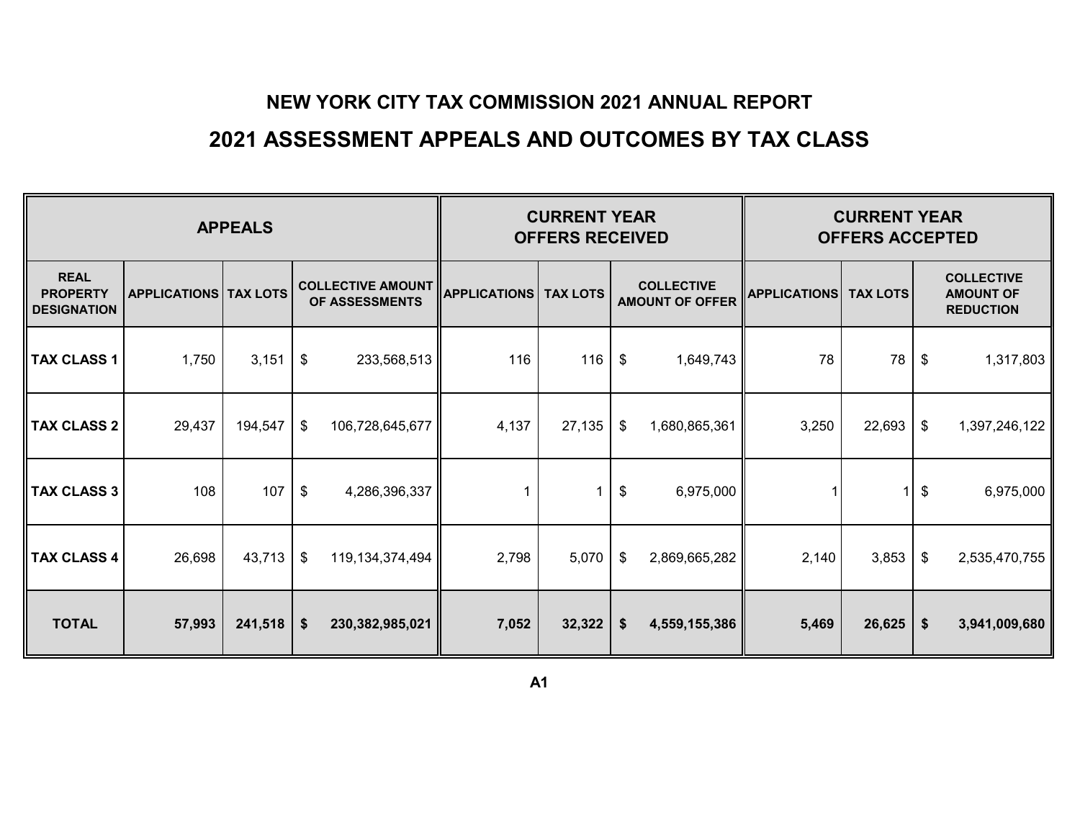## **2021 ASSESSMENT APPEALS AND OUTCOMES BY TAX CLASS**

|                                                      |                              |         | <b>CURRENT YEAR</b><br><b>OFFERS RECEIVED</b> |                                            | <b>CURRENT YEAR</b><br><b>OFFERS ACCEPTED</b>                                         |        |                            |                 |       |                                                           |    |               |
|------------------------------------------------------|------------------------------|---------|-----------------------------------------------|--------------------------------------------|---------------------------------------------------------------------------------------|--------|----------------------------|-----------------|-------|-----------------------------------------------------------|----|---------------|
| <b>REAL</b><br><b>PROPERTY</b><br><b>DESIGNATION</b> | <b>APPLICATIONS TAX LOTS</b> |         |                                               | <b>COLLECTIVE AMOUNT</b><br>OF ASSESSMENTS | <b>COLLECTIVE</b><br><b>TAX LOTS</b><br><b>APPLICATIONS</b><br><b>AMOUNT OF OFFER</b> |        | <b>APPLICATIONS</b>        | <b>TAX LOTS</b> |       | <b>COLLECTIVE</b><br><b>AMOUNT OF</b><br><b>REDUCTION</b> |    |               |
| <b>TAX CLASS 1</b>                                   | 1,750                        | 3,151   | $\boldsymbol{\mathsf{\$}}$                    | 233,568,513                                | 116                                                                                   | 116    | $\boldsymbol{\mathsf{\$}}$ | 1,649,743       | 78    | 78                                                        | \$ | 1,317,803     |
| <b>TAX CLASS 2</b>                                   | 29,437                       | 194,547 | $\frac{1}{2}$                                 | 106,728,645,677                            | 4,137                                                                                 | 27,135 | \$                         | 1,680,865,361   | 3,250 | 22,693                                                    | \$ | 1,397,246,122 |
| <b>TAX CLASS 3</b>                                   | 108                          | 107     | $\frac{1}{2}$                                 | 4,286,396,337                              |                                                                                       |        | $\frac{1}{2}$              | 6,975,000       |       |                                                           | \$ | 6,975,000     |
| <b>TAX CLASS 4</b>                                   | 26,698                       | 43,713  | $\sqrt[6]{2}$                                 | 119, 134, 374, 494                         | 2,798                                                                                 | 5,070  | \$                         | 2,869,665,282   | 2,140 | 3,853                                                     | \$ | 2,535,470,755 |
| <b>TOTAL</b>                                         | 57,993                       | 241,518 | \$                                            | 230,382,985,021                            | 7,052                                                                                 | 32,322 | $\boldsymbol{\$}$          | 4,559,155,386   | 5,469 | 26,625                                                    | \$ | 3,941,009,680 |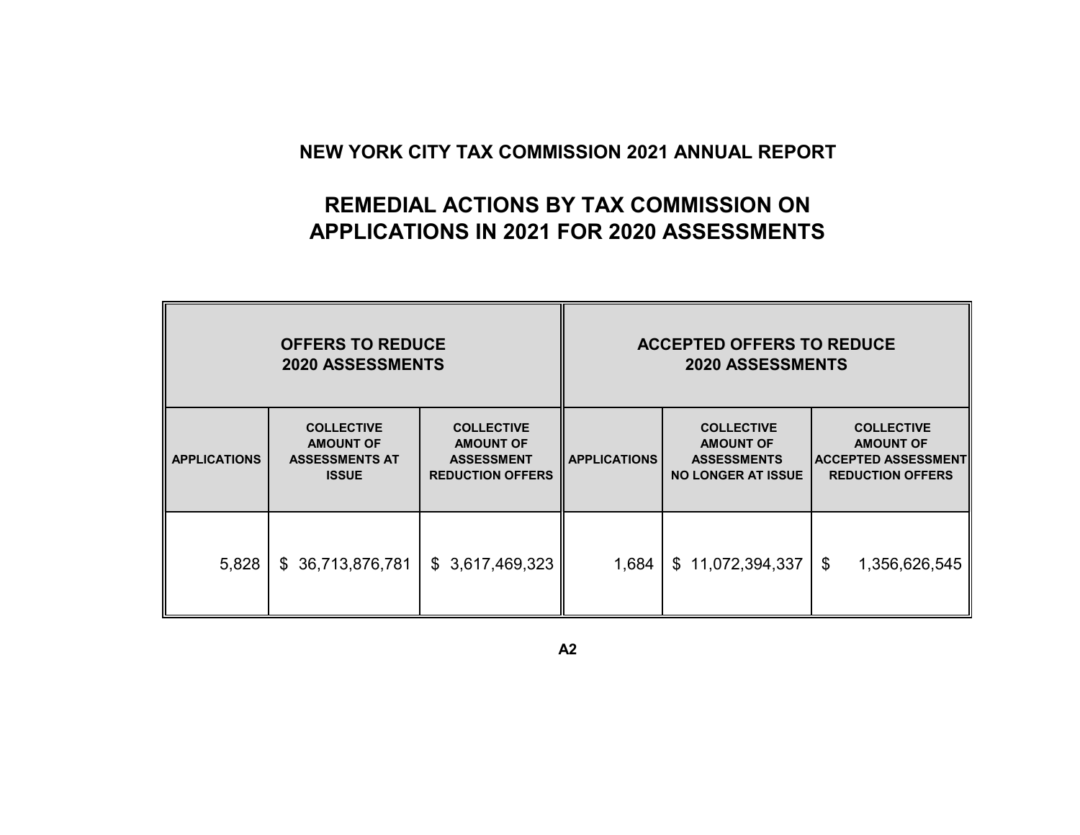## **REMEDIAL ACTIONS BY TAX COMMISSION ON APPLICATIONS IN 2021 FOR 2020 ASSESSMENTS**

|                     | <b>OFFERS TO REDUCE</b><br><b>2020 ASSESSMENTS</b>                                                                                                                      |                 | <b>ACCEPTED OFFERS TO REDUCE</b><br><b>2020 ASSESSMENTS</b> |                                                                                          |                                                                                                |  |  |  |  |
|---------------------|-------------------------------------------------------------------------------------------------------------------------------------------------------------------------|-----------------|-------------------------------------------------------------|------------------------------------------------------------------------------------------|------------------------------------------------------------------------------------------------|--|--|--|--|
| <b>APPLICATIONS</b> | <b>COLLECTIVE</b><br><b>COLLECTIVE</b><br><b>AMOUNT OF</b><br><b>AMOUNT OF</b><br><b>ASSESSMENTS AT</b><br><b>ASSESSMENT</b><br><b>ISSUE</b><br><b>REDUCTION OFFERS</b> |                 | <b>APPLICATIONS</b>                                         | <b>COLLECTIVE</b><br><b>AMOUNT OF</b><br><b>ASSESSMENTS</b><br><b>NO LONGER AT ISSUE</b> | <b>COLLECTIVE</b><br><b>AMOUNT OF</b><br><b>ACCEPTED ASSESSMENT</b><br><b>REDUCTION OFFERS</b> |  |  |  |  |
| 5,828               | \$ 36,713,876,781                                                                                                                                                       | \$3,617,469,323 | 1,684                                                       | \$11,072,394,337                                                                         | \$<br>1,356,626,545                                                                            |  |  |  |  |

**A2**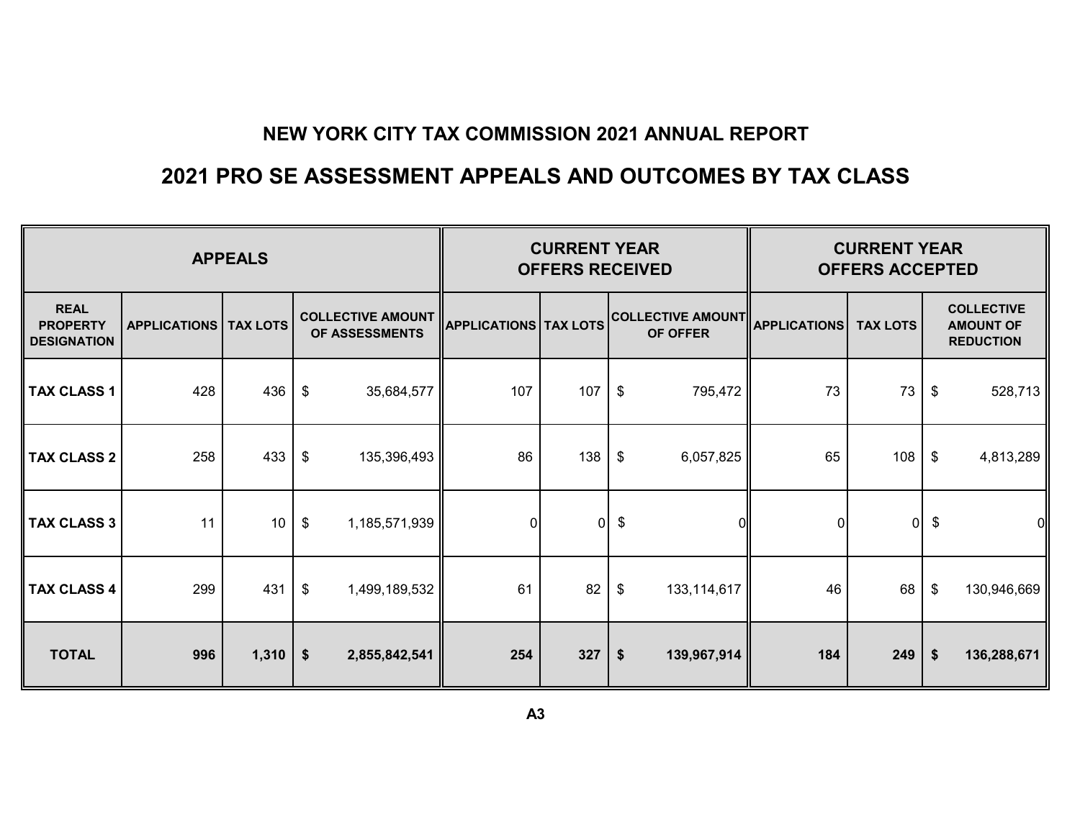## **2021 PRO SE ASSESSMENT APPEALS AND OUTCOMES BY TAX CLASS**

|                                                      |                     | <b>APPEALS</b>  |                                            |                              | <b>CURRENT YEAR</b><br><b>OFFERS RECEIVED</b> |               | <b>CURRENT YEAR</b><br><b>OFFERS ACCEPTED</b> |                     |                 |                   |                                                           |
|------------------------------------------------------|---------------------|-----------------|--------------------------------------------|------------------------------|-----------------------------------------------|---------------|-----------------------------------------------|---------------------|-----------------|-------------------|-----------------------------------------------------------|
| <b>REAL</b><br><b>PROPERTY</b><br><b>DESIGNATION</b> | <b>APPLICATIONS</b> | <b>TAX LOTS</b> | <b>COLLECTIVE AMOUNT</b><br>OF ASSESSMENTS | <b>APPLICATIONS TAX LOTS</b> |                                               |               | <b>COLLECTIVE AMOUNT</b><br>OF OFFER          | <b>APPLICATIONS</b> | <b>TAX LOTS</b> |                   | <b>COLLECTIVE</b><br><b>AMOUNT OF</b><br><b>REDUCTION</b> |
| <b>TAX CLASS 1</b>                                   | 428                 | 436             | \$<br>35,684,577                           | 107                          | 107                                           | $\frac{1}{2}$ | 795,472                                       | 73                  | 73              | \$                | 528,713                                                   |
| <b>TAX CLASS 2</b>                                   | 258                 | 433             | \$<br>135,396,493                          | 86                           | 138                                           | \$            | 6,057,825                                     | 65                  | 108             | \$                | 4,813,289                                                 |
| <b>TAX CLASS 3</b>                                   | 11                  | 10              | \$<br>1,185,571,939                        | 0                            | $\mathbf 0$                                   | \$            | 01                                            | $\overline{0}$      | 0               | \$                | 0                                                         |
| <b>TAX CLASS 4</b>                                   | 299                 | 431             | \$<br>1,499,189,532                        | 61                           | 82                                            | \$            | 133, 114, 617                                 | 46                  | 68              | $\frac{1}{2}$     | 130,946,669                                               |
| <b>TOTAL</b>                                         | 996                 | 1,310           | $\boldsymbol{\hat{\ast}}$<br>2,855,842,541 | 254                          | 327                                           | $\frac{2}{3}$ | 139,967,914                                   | 184                 | 249             | $\boldsymbol{\$}$ | 136,288,671                                               |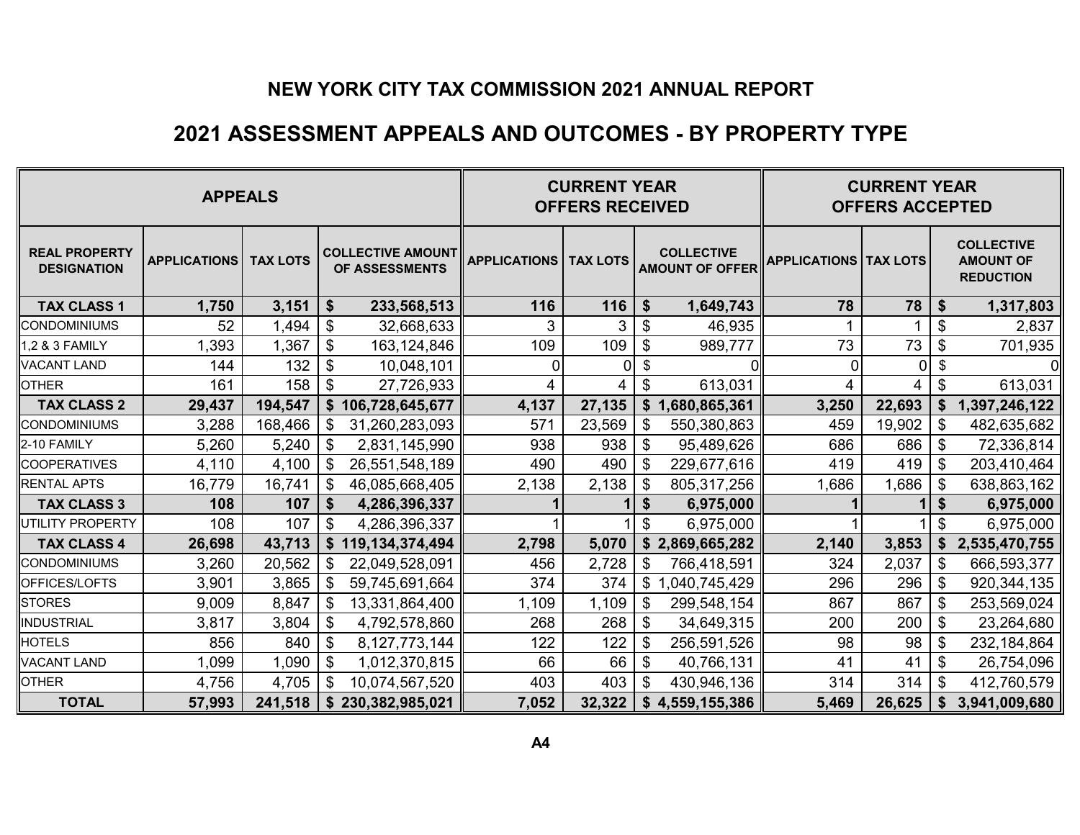### **2021 ASSESSMENT APPEALS AND OUTCOMES - BY PROPERTY TYPE**

| <b>APPEALS</b>                             |                     |                 |    |                                            | <b>CURRENT YEAR</b><br><b>OFFERS RECEIVED</b> |              | <b>CURRENT YEAR</b><br><b>OFFERS ACCEPTED</b> |                                |          |              |                                                           |
|--------------------------------------------|---------------------|-----------------|----|--------------------------------------------|-----------------------------------------------|--------------|-----------------------------------------------|--------------------------------|----------|--------------|-----------------------------------------------------------|
| <b>REAL PROPERTY</b><br><b>DESIGNATION</b> | <b>APPLICATIONS</b> | <b>TAX LOTS</b> |    | <b>COLLECTIVE AMOUNT</b><br>OF ASSESSMENTS | <b>APPLICATIONS   TAX LOTS</b>                |              | <b>COLLECTIVE</b><br><b>AMOUNT OF OFFER</b>   | <b>APPLICATIONS   TAX LOTS</b> |          |              | <b>COLLECTIVE</b><br><b>AMOUNT OF</b><br><b>REDUCTION</b> |
| <b>TAX CLASS 1</b>                         | 1,750               | 3,151           | \$ | 233,568,513                                | 116                                           | 116          | \$<br>1,649,743                               | 78                             | 78       | \$           | 1,317,803                                                 |
| <b>CONDOMINIUMS</b>                        | 52                  | ,494            | \$ | 32,668,633                                 | 3                                             | $\mathbf{3}$ | \$<br>46,935                                  | 1                              |          | \$           | 2,837                                                     |
| 1,2 & 3 FAMILY                             | 1,393               | 1,367           | \$ | 163,124,846                                | 109                                           | 109          | \$<br>989,777                                 | 73                             | 73       | \$           | 701,935                                                   |
| <b>VACANT LAND</b>                         | 144                 | 132             | \$ | 10,048,101                                 | $\overline{0}$                                | 0            | \$                                            | $\mathbf{0}$                   | $\Omega$ | \$           |                                                           |
| <b>OTHER</b>                               | 161                 | 158             | \$ | 27,726,933                                 | 4                                             | 4            | \$<br>613,031                                 | 4                              | 4        | \$           | 613,031                                                   |
| <b>TAX CLASS 2</b>                         | 29,437              | 194,547         |    | \$106,728,645,677                          | 4,137                                         | 27,135       | \$1,680,865,361                               | 3,250                          | 22,693   | \$           | 1,397,246,122                                             |
| <b>CONDOMINIUMS</b>                        | 3,288               | 168,466         | \$ | 31,260,283,093                             | 571                                           | 23,569       | \$<br>550,380,863                             | 459                            | 19,902   | \$           | 482,635,682                                               |
| 2-10 FAMILY                                | 5,260               | 5,240           | \$ | 2,831,145,990                              | 938                                           | 938          | \$<br>95,489,626                              | 686                            | 686      | \$           | 72,336,814                                                |
| <b>COOPERATIVES</b>                        | 4,110               | 4,100           | \$ | 26,551,548,189                             | 490                                           | 490          | \$<br>229,677,616                             | 419                            | 419      | \$           | 203,410,464                                               |
| <b>RENTAL APTS</b>                         | 16,779              | 16,741          | \$ | 46,085,668,405                             | 2,138                                         | 2,138        | \$<br>805,317,256                             | 1,686                          | 1,686    | \$           | 638,863,162                                               |
| <b>TAX CLASS 3</b>                         | 108                 | 107             | \$ | 4,286,396,337                              |                                               |              | \$<br>6,975,000                               |                                |          | \$           | 6,975,000                                                 |
| UTILITY PROPERTY                           | 108                 | 107             | \$ | 4,286,396,337                              |                                               |              | \$<br>6,975,000                               |                                |          | \$           | 6,975,000                                                 |
| <b>TAX CLASS 4</b>                         | 26,698              | 43,713          |    | \$119,134,374,494                          | 2,798                                         | 5,070        | \$2,869,665,282                               | 2,140                          | 3,853    | \$           | 2,535,470,755                                             |
| <b>CONDOMINIUMS</b>                        | 3,260               | 20,562          | \$ | 22,049,528,091                             | 456                                           | 2,728        | \$<br>766,418,591                             | 324                            | 2,037    | \$           | 666,593,377                                               |
| OFFICES/LOFTS                              | 3,901               | 3,865           | \$ | 59,745,691,664                             | 374                                           | 374          | \$<br>1,040,745,429                           | 296                            | 296      | \$           | 920, 344, 135                                             |
| <b>STORES</b>                              | 9,009               | 8,847           | \$ | 13,331,864,400                             | 1,109                                         | 1,109        | \$<br>299,548,154                             | 867                            | 867      | \$           | 253,569,024                                               |
| <b>INDUSTRIAL</b>                          | 3,817               | 3,804           | \$ | 4,792,578,860                              | 268                                           | 268          | \$<br>34,649,315                              | 200                            | 200      | \$           | 23,264,680                                                |
| <b>HOTELS</b>                              | 856                 | 840             | \$ | 8, 127, 773, 144                           | 122                                           | 122          | \$<br>256,591,526                             | 98                             | 98       | \$           | 232, 184, 864                                             |
| <b>VACANT LAND</b>                         | 1,099               | 1,090           | \$ | 1,012,370,815                              | 66                                            | 66           | \$<br>40,766,131                              | 41                             | 41       | \$           | 26,754,096                                                |
| <b>OTHER</b>                               | 4,756               | 4,705           | \$ | 10,074,567,520                             | 403                                           | 403          | \$<br>430,946,136                             | 314                            | 314      | \$           | 412,760,579                                               |
| <b>TOTAL</b>                               | 57,993              | 241,518         | \$ | 230,382,985,021                            | 7,052                                         | 32,322       | \$4,559,155,386                               | 5,469                          | 26,625   | $\mathbf{s}$ | 3,941,009,680                                             |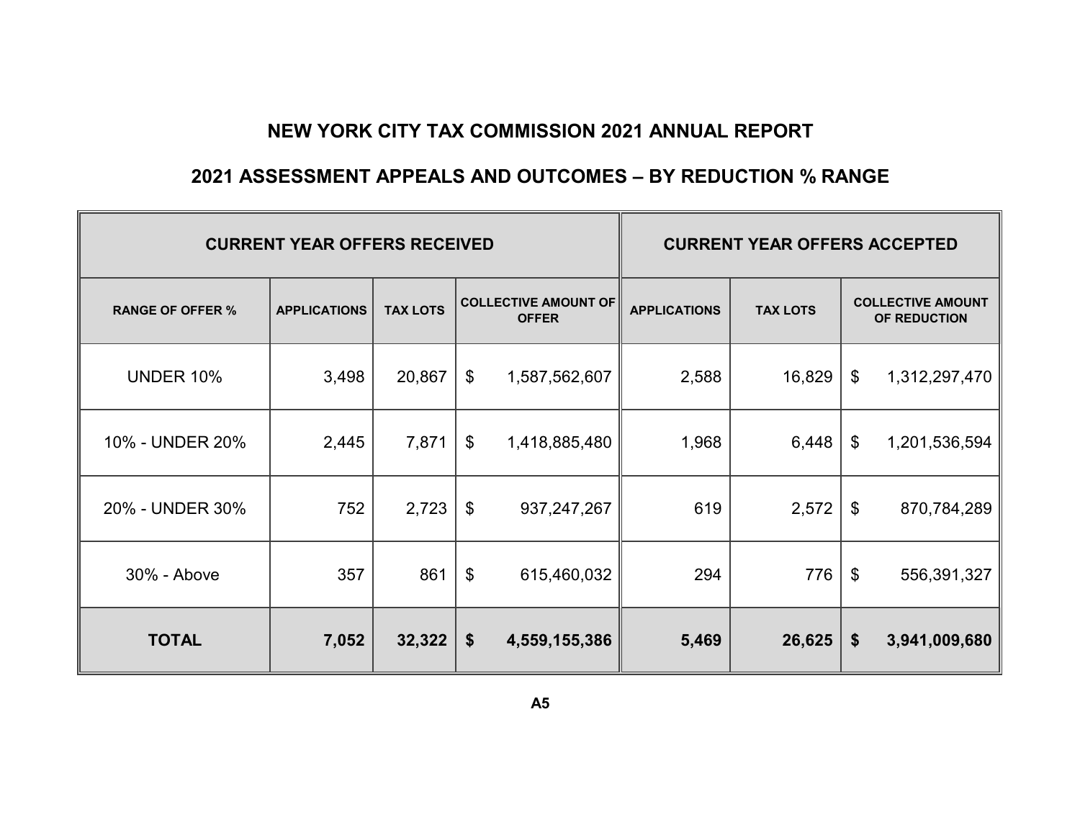### **2021 ASSESSMENT APPEALS AND OUTCOMES – BY REDUCTION % RANGE**

|                         | <b>CURRENT YEAR OFFERS RECEIVED</b> | <b>CURRENT YEAR OFFERS ACCEPTED</b> |                                             |               |                     |                 |    |                                          |
|-------------------------|-------------------------------------|-------------------------------------|---------------------------------------------|---------------|---------------------|-----------------|----|------------------------------------------|
| <b>RANGE OF OFFER %</b> | <b>APPLICATIONS</b>                 | <b>TAX LOTS</b>                     | <b>COLLECTIVE AMOUNT OF</b><br><b>OFFER</b> |               | <b>APPLICATIONS</b> | <b>TAX LOTS</b> |    | <b>COLLECTIVE AMOUNT</b><br>OF REDUCTION |
| <b>UNDER 10%</b>        | 3,498                               | 20,867                              | \$                                          | 1,587,562,607 | 2,588               | 16,829          | \$ | 1,312,297,470                            |
| 10% - UNDER 20%         | 2,445                               | 7,871                               | \$                                          | 1,418,885,480 | 1,968               | 6,448           | \$ | 1,201,536,594                            |
| 20% - UNDER 30%         | 752                                 | 2,723                               | $\boldsymbol{\mathsf{S}}$                   | 937, 247, 267 | 619                 | 2,572           | \$ | 870,784,289                              |
| 30% - Above             | 357                                 | 861                                 | \$                                          | 615,460,032   | 294                 | 776             | \$ | 556,391,327                              |
| <b>TOTAL</b>            | 7,052                               | 32,322                              | \$                                          | 4,559,155,386 | 5,469               | 26,625          | \$ | 3,941,009,680                            |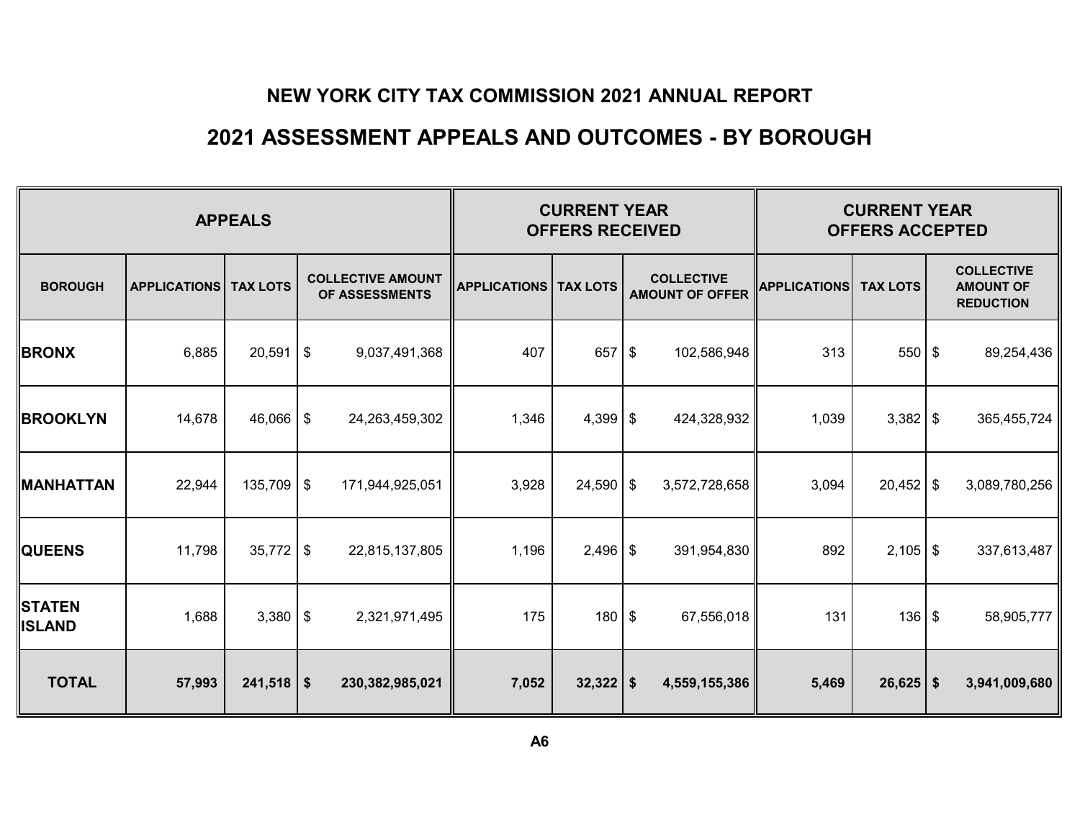### **2021 ASSESSMENT APPEALS AND OUTCOMES - BY BOROUGH**

|                                |                     | <b>CURRENT YEAR</b><br><b>OFFERS RECEIVED</b> |                                            | <b>CURRENT YEAR</b><br><b>OFFERS ACCEPTED</b> |             |  |                                             |                     |                 |            |                                                           |
|--------------------------------|---------------------|-----------------------------------------------|--------------------------------------------|-----------------------------------------------|-------------|--|---------------------------------------------|---------------------|-----------------|------------|-----------------------------------------------------------|
| <b>BOROUGH</b>                 | <b>APPLICATIONS</b> | <b>TAX LOTS</b>                               | <b>COLLECTIVE AMOUNT</b><br>OF ASSESSMENTS | <b>APPLICATIONS   TAX LOTS</b>                |             |  | <b>COLLECTIVE</b><br><b>AMOUNT OF OFFER</b> | <b>APPLICATIONS</b> | <b>TAX LOTS</b> |            | <b>COLLECTIVE</b><br><b>AMOUNT OF</b><br><b>REDUCTION</b> |
| <b>BRONX</b>                   | 6,885               | $20,591$ \$                                   | 9,037,491,368                              | 407                                           | $657$ \$    |  | 102,586,948                                 | 313                 | $550$ \$        |            | 89,254,436                                                |
| <b>BROOKLYN</b>                | 14,678              | $46,066$ \$                                   | 24,263,459,302                             | 1,346                                         | $4,399$ \$  |  | 424,328,932                                 | 1,039               | $3,382$ \$      |            | 365,455,724                                               |
| <b>MANHATTAN</b>               | 22,944              | $135,709$ \$                                  | 171,944,925,051                            | 3,928                                         | $24,590$ \$ |  | 3,572,728,658                               | 3,094               | $20,452$ \$     |            | 3,089,780,256                                             |
| <b>QUEENS</b>                  | 11,798              | $35,772$ \$                                   | 22,815,137,805                             | 1,196                                         | $2,496$ \$  |  | 391,954,830                                 | 892                 | $2,105$ \$      |            | 337,613,487                                               |
| <b>STATEN</b><br><b>ISLAND</b> | 1,688               | $3,380$ \ \ \$                                | 2,321,971,495                              | 175                                           | $180$ \$    |  | 67,556,018                                  | 131                 | 136             | $\sqrt{3}$ | 58,905,777                                                |
| <b>TOTAL</b>                   | 57,993              | $241,518$ \$                                  | 230,382,985,021                            | 7,052                                         | $32,322$ \$ |  | 4,559,155,386                               | 5,469               | $26,625$ \$     |            | 3,941,009,680                                             |